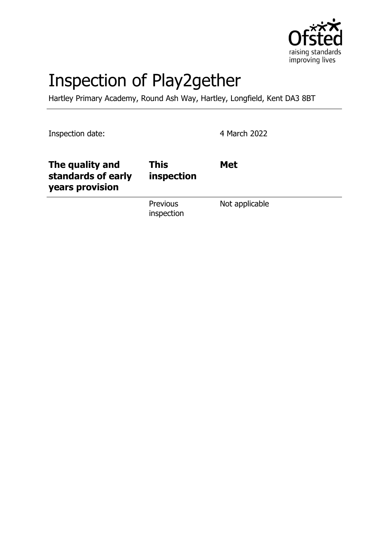

# Inspection of Play2gether

Hartley Primary Academy, Round Ash Way, Hartley, Longfield, Kent DA3 8BT

Inspection date: 4 March 2022

| The quality and<br>standards of early<br>years provision | <b>This</b><br>inspection     | <b>Met</b>     |
|----------------------------------------------------------|-------------------------------|----------------|
|                                                          | <b>Previous</b><br>inspection | Not applicable |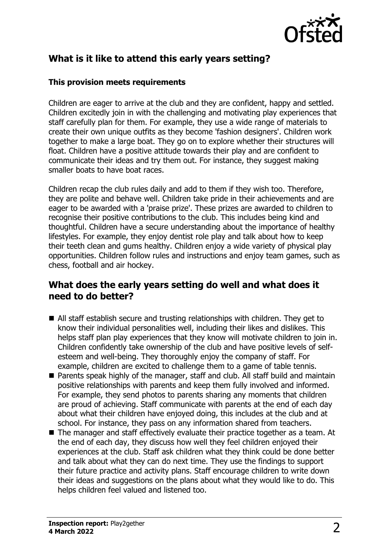

# **What is it like to attend this early years setting?**

#### **This provision meets requirements**

Children are eager to arrive at the club and they are confident, happy and settled. Children excitedly join in with the challenging and motivating play experiences that staff carefully plan for them. For example, they use a wide range of materials to create their own unique outfits as they become 'fashion designers'. Children work together to make a large boat. They go on to explore whether their structures will float. Children have a positive attitude towards their play and are confident to communicate their ideas and try them out. For instance, they suggest making smaller boats to have boat races.

Children recap the club rules daily and add to them if they wish too. Therefore, they are polite and behave well. Children take pride in their achievements and are eager to be awarded with a 'praise prize'. These prizes are awarded to children to recognise their positive contributions to the club. This includes being kind and thoughtful. Children have a secure understanding about the importance of healthy lifestyles. For example, they enjoy dentist role play and talk about how to keep their teeth clean and gums healthy. Children enjoy a wide variety of physical play opportunities. Children follow rules and instructions and enjoy team games, such as chess, football and air hockey.

#### **What does the early years setting do well and what does it need to do better?**

- $\blacksquare$  All staff establish secure and trusting relationships with children. They get to know their individual personalities well, including their likes and dislikes. This helps staff plan play experiences that they know will motivate children to join in. Children confidently take ownership of the club and have positive levels of selfesteem and well-being. They thoroughly enjoy the company of staff. For example, children are excited to challenge them to a game of table tennis.
- Parents speak highly of the manager, staff and club. All staff build and maintain positive relationships with parents and keep them fully involved and informed. For example, they send photos to parents sharing any moments that children are proud of achieving. Staff communicate with parents at the end of each day about what their children have enjoyed doing, this includes at the club and at school. For instance, they pass on any information shared from teachers.
- $\blacksquare$  The manager and staff effectively evaluate their practice together as a team. At the end of each day, they discuss how well they feel children enjoyed their experiences at the club. Staff ask children what they think could be done better and talk about what they can do next time. They use the findings to support their future practice and activity plans. Staff encourage children to write down their ideas and suggestions on the plans about what they would like to do. This helps children feel valued and listened too.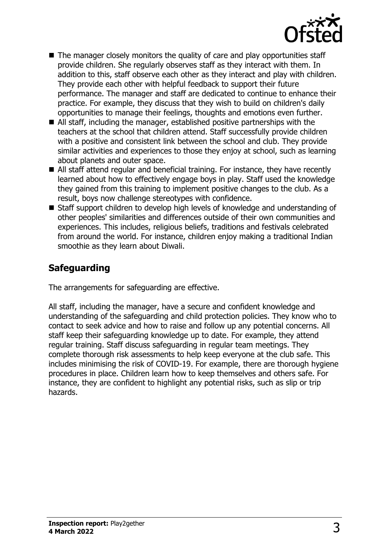

- $\blacksquare$  The manager closely monitors the quality of care and play opportunities staff provide children. She regularly observes staff as they interact with them. In addition to this, staff observe each other as they interact and play with children. They provide each other with helpful feedback to support their future performance. The manager and staff are dedicated to continue to enhance their practice. For example, they discuss that they wish to build on children's daily opportunities to manage their feelings, thoughts and emotions even further.
- $\blacksquare$  All staff, including the manager, established positive partnerships with the teachers at the school that children attend. Staff successfully provide children with a positive and consistent link between the school and club. They provide similar activities and experiences to those they enjoy at school, such as learning about planets and outer space.
- All staff attend regular and beneficial training. For instance, they have recently learned about how to effectively engage boys in play. Staff used the knowledge they gained from this training to implement positive changes to the club. As a result, boys now challenge stereotypes with confidence.
- Staff support children to develop high levels of knowledge and understanding of other peoples' similarities and differences outside of their own communities and experiences. This includes, religious beliefs, traditions and festivals celebrated from around the world. For instance, children enjoy making a traditional Indian smoothie as they learn about Diwali.

# **Safeguarding**

The arrangements for safeguarding are effective.

All staff, including the manager, have a secure and confident knowledge and understanding of the safeguarding and child protection policies. They know who to contact to seek advice and how to raise and follow up any potential concerns. All staff keep their safeguarding knowledge up to date. For example, they attend regular training. Staff discuss safeguarding in regular team meetings. They complete thorough risk assessments to help keep everyone at the club safe. This includes minimising the risk of COVID-19. For example, there are thorough hygiene procedures in place. Children learn how to keep themselves and others safe. For instance, they are confident to highlight any potential risks, such as slip or trip hazards.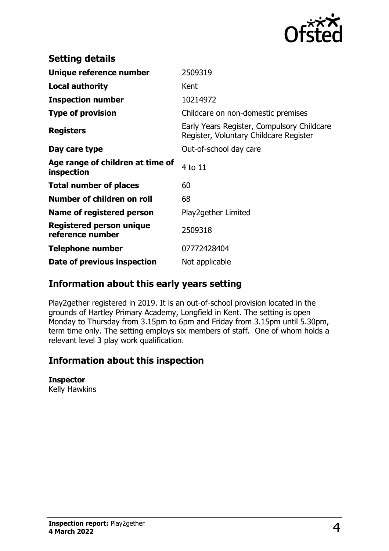

| <b>Setting details</b>                              |                                                                                      |
|-----------------------------------------------------|--------------------------------------------------------------------------------------|
| Unique reference number                             | 2509319                                                                              |
| <b>Local authority</b>                              | Kent                                                                                 |
| <b>Inspection number</b>                            | 10214972                                                                             |
| <b>Type of provision</b>                            | Childcare on non-domestic premises                                                   |
| <b>Registers</b>                                    | Early Years Register, Compulsory Childcare<br>Register, Voluntary Childcare Register |
| Day care type                                       | Out-of-school day care                                                               |
| Age range of children at time of<br>inspection      | 4 to 11                                                                              |
| <b>Total number of places</b>                       | 60                                                                                   |
| Number of children on roll                          | 68                                                                                   |
| Name of registered person                           | Play2gether Limited                                                                  |
| <b>Registered person unique</b><br>reference number | 2509318                                                                              |
| <b>Telephone number</b>                             | 07772428404                                                                          |
| Date of previous inspection                         | Not applicable                                                                       |

## **Information about this early years setting**

Play2gether registered in 2019. It is an out-of-school provision located in the grounds of Hartley Primary Academy, Longfield in Kent. The setting is open Monday to Thursday from 3.15pm to 6pm and Friday from 3.15pm until 5.30pm, term time only. The setting employs six members of staff. One of whom holds a relevant level 3 play work qualification.

## **Information about this inspection**

#### **Inspector**

Kelly Hawkins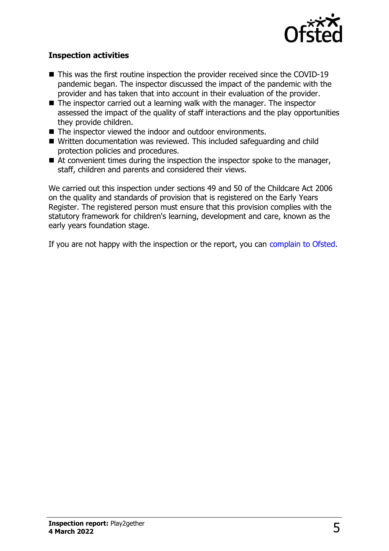

#### **Inspection activities**

- $\blacksquare$  This was the first routine inspection the provider received since the COVID-19 pandemic began. The inspector discussed the impact of the pandemic with the provider and has taken that into account in their evaluation of the provider.
- $\blacksquare$  The inspector carried out a learning walk with the manager. The inspector assessed the impact of the quality of staff interactions and the play opportunities they provide children.
- $\blacksquare$  The inspector viewed the indoor and outdoor environments.
- Written documentation was reviewed. This included safeguarding and child protection policies and procedures.
- $\blacksquare$  At convenient times during the inspection the inspector spoke to the manager, staff, children and parents and considered their views.

We carried out this inspection under sections 49 and 50 of the Childcare Act 2006 on the quality and standards of provision that is registered on the Early Years Register. The registered person must ensure that this provision complies with the statutory framework for children's learning, development and care, known as the early years foundation stage.

If you are not happy with the inspection or the report, you can [complain to Ofsted](http://www.gov.uk/complain-ofsted-report).